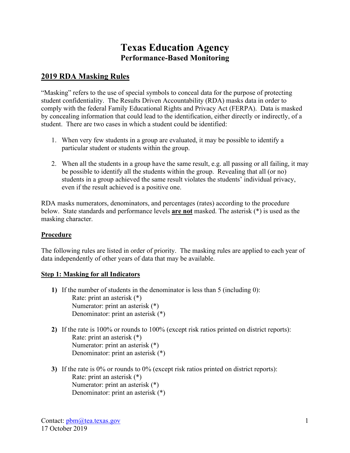# **Texas Education Agency Performance-Based Monitoring**

## **2019 RDA Masking Rules**

"Masking" refers to the use of special symbols to conceal data for the purpose of protecting student confidentiality. The Results Driven Accountability (RDA) masks data in order to comply with the federal Family Educational Rights and Privacy Act (FERPA). Data is masked by concealing information that could lead to the identification, either directly or indirectly, of a student. There are two cases in which a student could be identified:

- 1. When very few students in a group are evaluated, it may be possible to identify a particular student or students within the group.
- 2. When all the students in a group have the same result, e.g. all passing or all failing, it may be possible to identify all the students within the group. Revealing that all (or no) students in a group achieved the same result violates the students' individual privacy, even if the result achieved is a positive one.

RDA masks numerators, denominators, and percentages (rates) according to the procedure below. State standards and performance levels **are not** masked. The asterisk (\*) is used as the masking character.

#### **Procedure**

The following rules are listed in order of priority. The masking rules are applied to each year of data independently of other years of data that may be available.

#### **Step 1: Masking for all Indicators**

- **1)** If the number of students in the denominator is less than 5 (including 0): Rate: print an asterisk (\*) Numerator: print an asterisk (\*) Denominator: print an asterisk (\*)
- **2)** If the rate is 100% or rounds to 100% (except risk ratios printed on district reports): Rate: print an asterisk (\*) Numerator: print an asterisk (\*) Denominator: print an asterisk (\*)
- **3)** If the rate is 0% or rounds to 0% (except risk ratios printed on district reports): Rate: print an asterisk (\*) Numerator: print an asterisk (\*) Denominator: print an asterisk (\*)